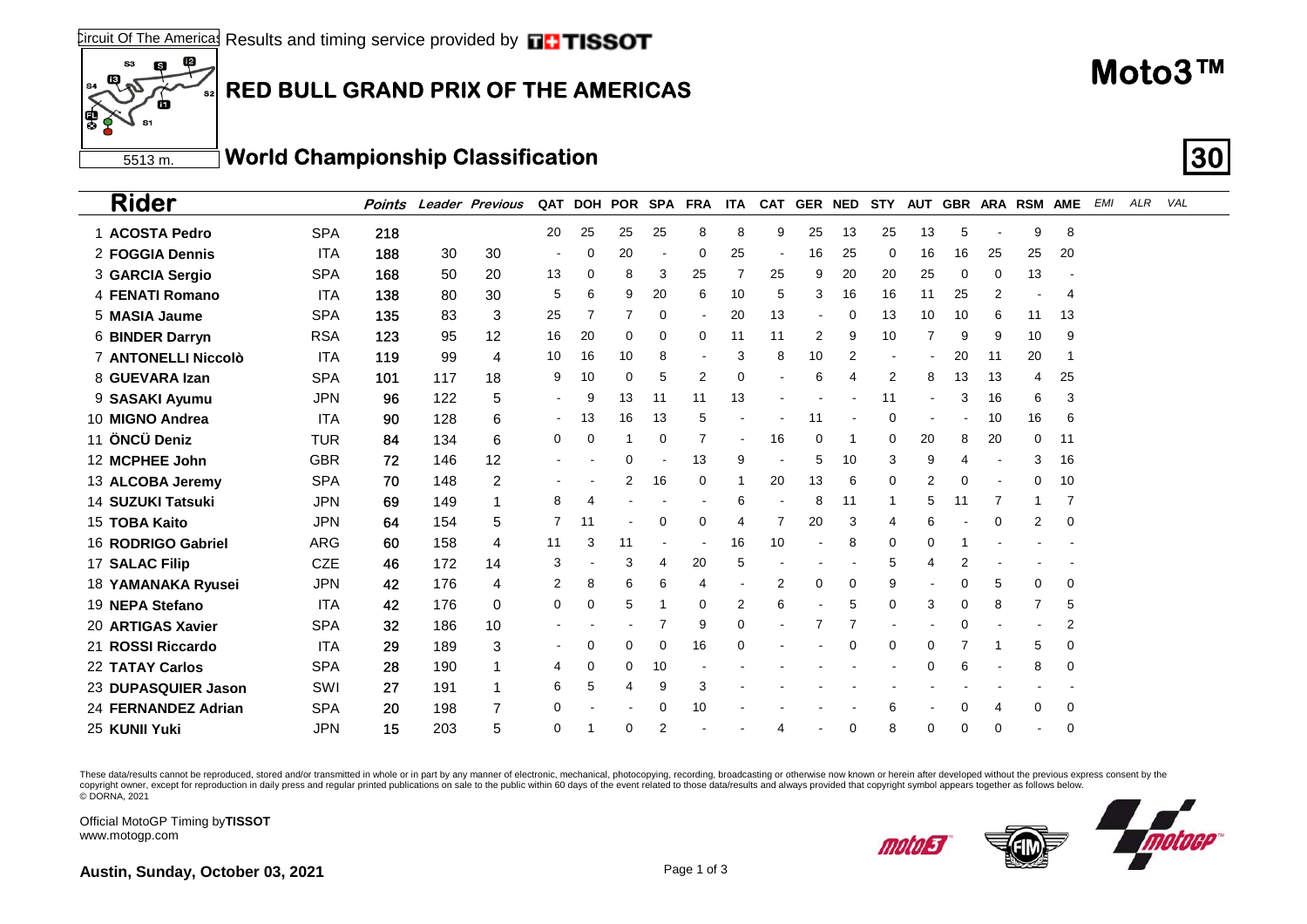## **RED BULL GRAND PRIX OF THE AMERICAS**

5513 m. **World Championship Classification 30**

| <b>Rider</b>                           | Points |     | <b>Leader Previous</b> |                | QAT DOH POR SPA FRA |          |                |          | <b>ITA</b>     |                          | CAT GER NED |             | STY      |                       |                |    | AUT GBR ARA RSM AME |          | <b>EMI</b> | ALR | VAL |
|----------------------------------------|--------|-----|------------------------|----------------|---------------------|----------|----------------|----------|----------------|--------------------------|-------------|-------------|----------|-----------------------|----------------|----|---------------------|----------|------------|-----|-----|
| <b>SPA</b><br>1 ACOSTA Pedro           | 218    |     |                        | 20             | 25                  | 25       | 25             | 8        | 8              | 9                        | 25          | 13          | 25       | 13                    | 5              |    | 9                   | 8        |            |     |     |
| <b>ITA</b><br>2 FOGGIA Dennis          | 188    | 30  | 30                     |                | $\mathbf 0$         | 20       |                | $\Omega$ | 25             | $\overline{\phantom{a}}$ | 16          | 25          | 0        | 16                    | 16             | 25 | 25                  | 20       |            |     |     |
| <b>SPA</b><br>3 GARCIA Sergio          | 168    | 50  | 20                     | 13             | 0                   | 8        | 3              | 25       | 7              | 25                       | 9           | 20          | 20       | 25                    | 0              | 0  | 13                  |          |            |     |     |
| <b>ITA</b><br>4 FENATI Romano          | 138    | 80  | 30                     | 5              | 6                   | 9        | 20             | 6        | 10             | 5                        | 3           | 16          | 16       | 11                    | 25             | 2  |                     | 4        |            |     |     |
| <b>SPA</b><br>5 MASIA Jaume            | 135    | 83  | 3                      | 25             | 7                   | 7        | 0              |          | 20             | 13                       |             | 0           | 13       | 10                    | 10             | 6  | 11                  | 13       |            |     |     |
| <b>RSA</b><br>6 BINDER Darryn          | 123    | 95  | 12                     | 16             | 20                  | 0        | 0              | 0        | 11             | 11                       | 2           | 9           | 10       | 7                     | 9              | 9  | 10                  | 9        |            |     |     |
| <b>ITA</b><br>7 ANTONELLI Niccolò      | 119    | 99  | $\overline{4}$         | 10             | 16                  | 10       | 8              |          | 3              | 8                        | 10          | 2           |          |                       | 20             | 11 | 20                  |          |            |     |     |
| <b>SPA</b><br>8 GUEVARA Izan           | 101    | 117 | 18                     | 9              | 10                  | 0        | 5              | 2        | 0              |                          | 6           | 4           | 2        | 8                     | 13             | 13 | 4                   | 25       |            |     |     |
| <b>JPN</b><br>9 SASAKI Ayumu           | 96     | 122 | 5                      | $\sim$         | 9                   | 13       | 11             | 11       | 13             |                          |             |             | 11       | $\blacksquare$        | 3              | 16 | 6                   | 3        |            |     |     |
| 10 MIGNO Andrea<br><b>ITA</b>          | 90     | 128 | 6                      | $\blacksquare$ | 13                  | 16       | 13             | 5        |                |                          | 11          |             | 0        |                       |                | 10 | 16                  | 6        |            |     |     |
| 11 ÖNCÜ Deniz<br><b>TUR</b>            | 84     | 134 | 6                      | 0              | $\mathbf 0$         |          | $\mathbf 0$    | 7        |                | 16                       | 0           |             | 0        | 20                    | 8              | 20 | 0                   | 11       |            |     |     |
| <b>GBR</b><br>12 MCPHEE John           | 72     | 146 | 12                     |                |                     | ი        |                | 13       | 9              |                          | 5           | 10          | 3        | 9                     | Δ              |    | 3                   | 16       |            |     |     |
| <b>SPA</b><br>13 ALCOBA Jeremy         | 70     | 148 | 2                      |                |                     | 2        | 16             | 0        | 1              | 20                       | 13          | 6           | 0        | 2                     | 0              |    | 0                   | 10       |            |     |     |
| <b>14 SUZUKI Tatsuki</b><br><b>JPN</b> | 69     | 149 | 1                      | 8              | 4                   |          |                |          | 6              |                          | 8           | 11          | 1        | 5                     | 11             | 7  | -1                  | 7        |            |     |     |
| 15 TOBA Kaito<br><b>JPN</b>            | 64     | 154 | 5                      | 7              | 11                  |          | 0              | 0        | 4              | $\overline{7}$           | 20          | 3           | 4        | 6                     |                | 0  | $\overline{2}$      | 0        |            |     |     |
| <b>ARG</b><br>16 RODRIGO Gabriel       | 60     | 158 | $\overline{4}$         | 11             | 3                   | 11       |                |          | 16             | 10                       |             | 8           | $\Omega$ | $\Omega$              |                |    |                     |          |            |     |     |
| 17 SALAC Filip<br><b>CZE</b>           | 46     | 172 | 14                     | 3              |                     | 3        | $\overline{4}$ | 20       | 5              |                          |             |             | 5        | $\boldsymbol{\Delta}$ | $\overline{2}$ |    |                     |          |            |     |     |
| <b>JPN</b><br>18 YAMANAKA Ryusei       | 42     | 176 | $\overline{4}$         | 2              | 8                   | 6        | 6              | 4        |                | 2                        | 0           | 0           | 9        |                       | 0              | 5  | 0                   | 0        |            |     |     |
| <b>ITA</b><br>19 NEPA Stefano          | 42     | 176 | 0                      | 0              | $\mathbf 0$         | 5        |                | $\Omega$ | $\overline{2}$ | 6                        |             | 5           | $\Omega$ | 3                     | $\mathbf 0$    | 8  | 7                   | 5        |            |     |     |
| <b>SPA</b><br>20 ARTIGAS Xavier        | 32     | 186 | 10                     |                |                     |          | 7              | 9        | 0              |                          |             | 7           |          |                       | $\Omega$       |    |                     | 2        |            |     |     |
| 21 ROSSI Riccardo<br><b>ITA</b>        | 29     | 189 | 3                      |                | $\mathbf 0$         | 0        | $\mathbf 0$    | 16       | 0              |                          |             | $\mathbf 0$ | 0        | $\mathbf 0$           | 7              |    | 5                   | 0        |            |     |     |
| <b>SPA</b><br>22 TATAY Carlos          | 28     | 190 | 1                      | 4              | 0                   | 0        | 10             |          |                |                          |             |             |          | $\Omega$              | 6              |    | 8                   | $\Omega$ |            |     |     |
| SWI<br>23 DUPASQUIER Jason             | 27     | 191 | 1                      | 6              | 5                   | 4        | 9              | 3        |                |                          |             |             |          |                       |                |    |                     |          |            |     |     |
| <b>SPA</b><br>24 FERNANDEZ Adrian      | 20     | 198 | $\overline{7}$         | 0              |                     |          | 0              | 10       |                |                          |             |             | 6        |                       | 0              | 4  | 0                   | 0        |            |     |     |
| <b>JPN</b><br>25 KUNII Yuki            | 15     | 203 | 5                      | $\Omega$       |                     | $\Omega$ | $\overline{2}$ |          |                | 4                        |             | $\Omega$    | 8        | $\Omega$              | $\Omega$       | 0  |                     | $\Omega$ |            |     |     |

These data/results cannot be reproduced, stored and/or transmitted in whole or in part by any manner of electronic, mechanical, photocopying, recording, broadcasting or otherwise now known or herein after developed without copyright owner, except for reproduction in daily press and regular printed publications on sale to the public within 60 days of the event related to those data/results and always provided that copyright symbol appears tog

Official MotoGP Timing by **TISSOT**www.motogp.com

 $\overline{12}$ 

ß

S3



**Moto3™**

**Austin, Sunday, October 03, 2021 Page 1 of 3 Page 1 of 3**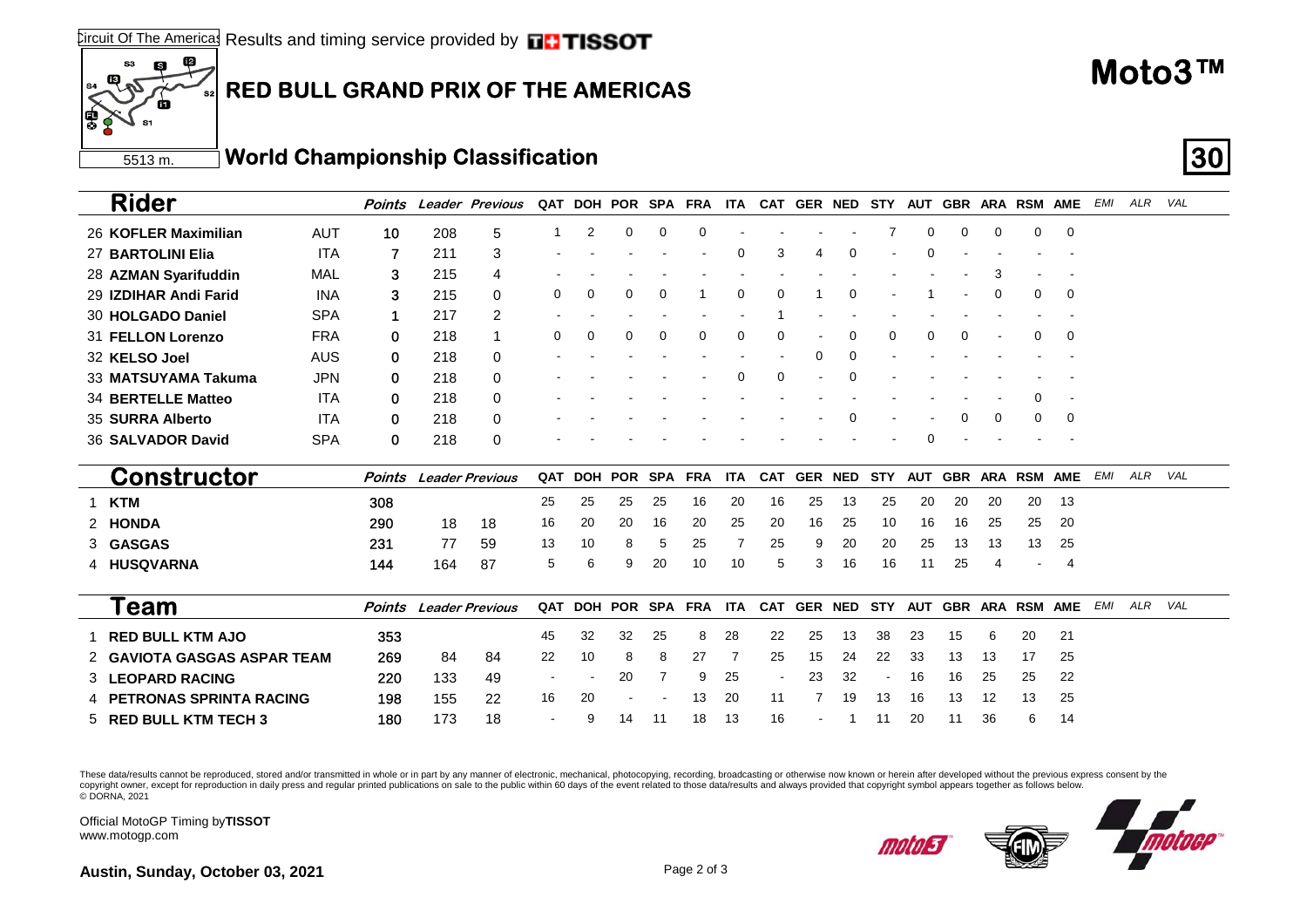## **RED BULL GRAND PRIX OF THE AMERICAS**

5513 m.**World Championship Classification 30**

| <b>Rider</b>                        | Points |     | Leader Previous        | QAT | DOH POR        |          | SPA        | FRA        | ITA  |            | CAT GER NED    |          | STY        | AUT |            |          | GBR ARA RSM AME     |            | EMI | ALR     | VAL |  |
|-------------------------------------|--------|-----|------------------------|-----|----------------|----------|------------|------------|------|------------|----------------|----------|------------|-----|------------|----------|---------------------|------------|-----|---------|-----|--|
| <b>AUT</b><br>26 KOFLER Maximilian  | 10     | 208 | 5                      |     | $\overline{2}$ | $\Omega$ | 0          | 0          |      |            |                |          |            | 0   | 0          | $\Omega$ | 0                   | 0          |     |         |     |  |
| <b>ITA</b><br>27 BARTOLINI Elia     | 7      | 211 | 3                      |     |                |          |            |            | 0    | 3          |                |          |            | 0   |            |          |                     |            |     |         |     |  |
| 28 AZMAN Syarifuddin<br>MAL         | 3      | 215 | 4                      |     |                |          |            |            |      |            |                |          |            |     |            |          |                     | $\sim$     |     |         |     |  |
| <b>INA</b><br>29 IZDIHAR Andi Farid | 3      | 215 | 0                      | 0   | 0              | $\Omega$ | 0          |            | 0    | $\Omega$   |                | $\Omega$ |            |     |            | $\Omega$ | 0                   | - 0        |     |         |     |  |
| <b>SPA</b><br>30 HOLGADO Daniel     | 1      | 217 | 2                      |     |                |          |            |            |      |            |                |          |            |     |            |          |                     |            |     |         |     |  |
| <b>FRA</b><br>31 FELLON Lorenzo     | 0      | 218 |                        | 0   | $\Omega$       |          | $\Omega$   | 0          | 0    |            |                |          |            | 0   | 0          |          | 0                   | - 0        |     |         |     |  |
| 32 KELSO Joel<br><b>AUS</b>         | 0      | 218 | 0                      |     |                |          |            |            |      |            |                |          |            |     |            |          |                     |            |     |         |     |  |
| <b>JPN</b><br>33 MATSUYAMA Takuma   | 0      | 218 | 0                      |     |                |          |            |            | 0    | 0          |                |          |            |     |            |          |                     |            |     |         |     |  |
| <b>ITA</b><br>34 BERTELLE Matteo    | 0      | 218 | 0                      |     |                |          |            |            |      |            |                |          |            |     |            |          | 0                   |            |     |         |     |  |
| 35 SURRA Alberto<br><b>ITA</b>      | 0      | 218 | 0                      |     |                |          |            |            |      |            |                |          |            |     | $\Omega$   | $\Omega$ | 0                   | 0          |     |         |     |  |
| <b>SPA</b><br>36 SALVADOR David     | 0      | 218 | 0                      |     |                |          |            |            |      |            |                |          |            | 0   |            |          |                     |            |     |         |     |  |
| <b>Constructor</b>                  | Points |     | <b>Leader Previous</b> | QAT | DOH POR        |          | <b>SPA</b> | <b>FRA</b> | ITA. | <b>CAT</b> | <b>GER NED</b> |          | <b>STY</b> | AUT | <b>GBR</b> |          | ARA RSM             | <b>AME</b> | EMI | ALR VAL |     |  |
| 1 KTM                               | 308    |     |                        | 25  | 25             | 25       | 25         | 16         | 20   | 16         | 25             | 13       | 25         | 20  | 20         | 20       | 20                  | 13         |     |         |     |  |
| 2 HONDA                             | 290    | 18  | 18                     | 16  | 20             | 20       | 16         | 20         | 25   | 20         | 16             | 25       | 10         | 16  | 16         | 25       | 25                  | 20         |     |         |     |  |
| 3 GASGAS                            | 231    | 77  | 59                     | 13  | 10             | 8        | 5          | 25         | 7    | 25         | 9              | 20       | 20         | 25  | 13         | 13       | 13                  | 25         |     |         |     |  |
| 4 HUSQVARNA                         | 144    | 164 | 87                     | 5   | 6              | 9        | 20         | 10         | 10   | 5          | 3              | 16       | 16         | 11  | 25         |          |                     | 4          |     |         |     |  |
| Геаm                                | Points |     | <b>Leader Previous</b> | QAT | DOH POR        |          |            | SPA FRA    | ITA  |            | CAT GER NED    |          | <b>STY</b> |     |            |          | AUT GBR ARA RSM AME |            | EMI | ALR     | VAL |  |
| 1 RED BULL KTM AJO                  | 353    |     |                        | 45  | 32             | 32       | 25         | 8          | 28   | 22         | 25             | 13       | 38         | 23  | 15         | 6        | 20                  | 21         |     |         |     |  |

These data/results cannot be reproduced, stored and/or transmitted in whole or in part by any manner of electronic, mechanical, photocopying, recording, broadcasting or otherwise now known or herein after developed without copyright owner, except for reproduction in daily press and regular printed publications on sale to the public within 60 days of the event related to those data/results and always provided that copyright symbol appears tog © DORNA, 2021

**G 220** 133 49 20 7 9 25 23 32 - 16 16 25 22

Official MotoGP Timing by **TISSOT**www.motogp.com

3 **LEOPARD RACING**

5 **RED BULL KTM TECH 3**



**Austin, Sunday, October 03, 2021** Page 2 of 3

2 **GAVIOTA GASGAS ASPAR TEAM**

4 **PETRONAS SPRINTA RACING**

 $\overline{12}$ 

ß

S3

269 84 84 22 10 8 8 27 7 25 15 24 22 33 13 13 17 25

198 155 22 16 20 - - 13 20 11 7 19 13 16 13 12 13 25

180 173 18 - 9 14 11 18 13 16 - 1 11 20 11 36 6 14



**Moto3™**